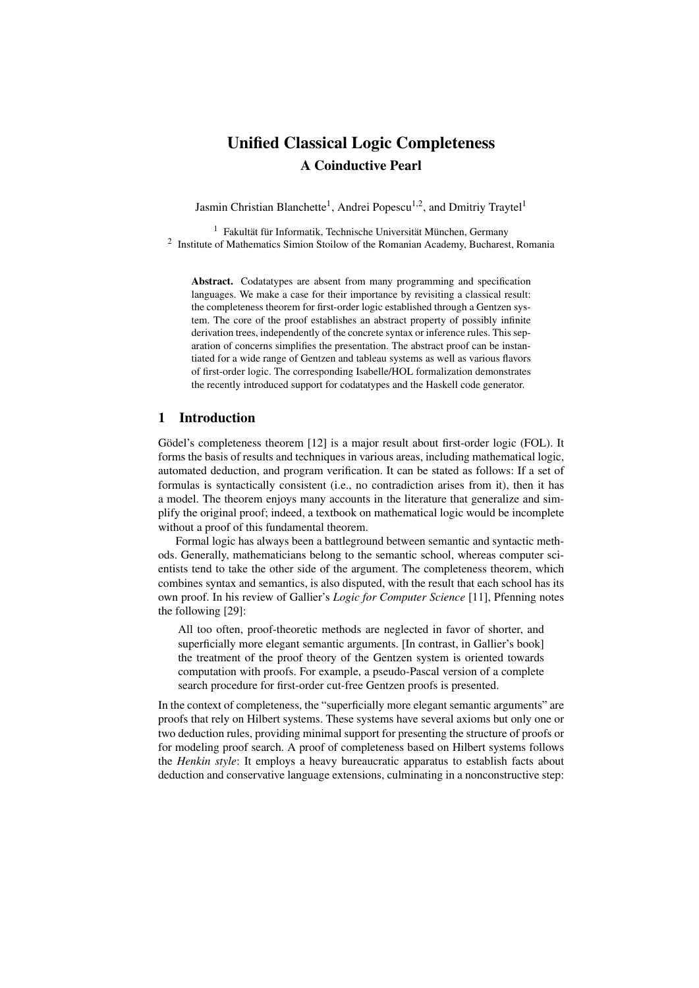# Unified Classical Logic Completeness A Coinductive Pearl

Jasmin Christian Blanchette<sup>1</sup>, Andrei Popescu<sup>1,2</sup>, and Dmitriy Traytel<sup>1</sup>

 $1$  Fakultät für Informatik, Technische Universität München, Germany <sup>2</sup> Institute of Mathematics Simion Stoilow of the Romanian Academy, Bucharest, Romania

Abstract. Codatatypes are absent from many programming and specification languages. We make a case for their importance by revisiting a classical result: the completeness theorem for first-order logic established through a Gentzen system. The core of the proof establishes an abstract property of possibly infinite derivation trees, independently of the concrete syntax or inference rules. This separation of concerns simplifies the presentation. The abstract proof can be instantiated for a wide range of Gentzen and tableau systems as well as various flavors of first-order logic. The corresponding Isabelle/HOL formalization demonstrates the recently introduced support for codatatypes and the Haskell code generator.

#### 1 Introduction

Gödel's completeness theorem [\[12\]](#page-13-0) is a major result about first-order logic (FOL). It forms the basis of results and techniques in various areas, including mathematical logic, automated deduction, and program verification. It can be stated as follows: If a set of formulas is syntactically consistent (i.e., no contradiction arises from it), then it has a model. The theorem enjoys many accounts in the literature that generalize and simplify the original proof; indeed, a textbook on mathematical logic would be incomplete without a proof of this fundamental theorem.

Formal logic has always been a battleground between semantic and syntactic methods. Generally, mathematicians belong to the semantic school, whereas computer scientists tend to take the other side of the argument. The completeness theorem, which combines syntax and semantics, is also disputed, with the result that each school has its own proof. In his review of Gallier's *Logic for Computer Science* [\[11\]](#page-13-1), Pfenning notes the following [\[29\]](#page-14-0):

All too often, proof-theoretic methods are neglected in favor of shorter, and superficially more elegant semantic arguments. [In contrast, in Gallier's book] the treatment of the proof theory of the Gentzen system is oriented towards computation with proofs. For example, a pseudo-Pascal version of a complete search procedure for first-order cut-free Gentzen proofs is presented.

In the context of completeness, the "superficially more elegant semantic arguments" are proofs that rely on Hilbert systems. These systems have several axioms but only one or two deduction rules, providing minimal support for presenting the structure of proofs or for modeling proof search. A proof of completeness based on Hilbert systems follows the *Henkin style*: It employs a heavy bureaucratic apparatus to establish facts about deduction and conservative language extensions, culminating in a nonconstructive step: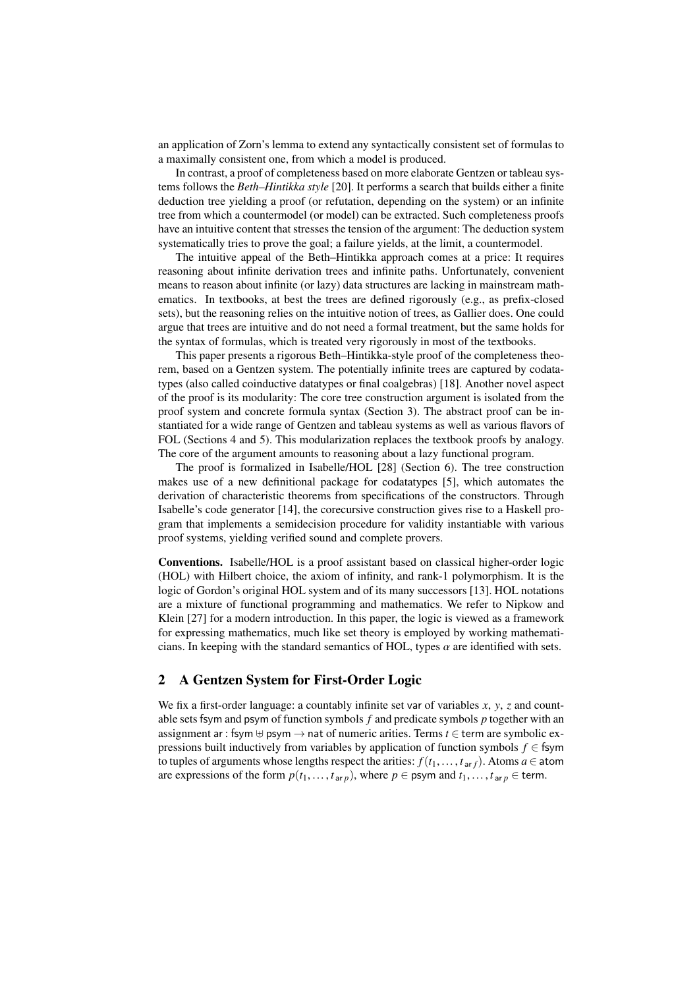an application of Zorn's lemma to extend any syntactically consistent set of formulas to a maximally consistent one, from which a model is produced.

In contrast, a proof of completeness based on more elaborate Gentzen or tableau systems follows the *Beth–Hintikka style* [\[20\]](#page-14-1). It performs a search that builds either a finite deduction tree yielding a proof (or refutation, depending on the system) or an infinite tree from which a countermodel (or model) can be extracted. Such completeness proofs have an intuitive content that stresses the tension of the argument: The deduction system systematically tries to prove the goal; a failure yields, at the limit, a countermodel.

The intuitive appeal of the Beth–Hintikka approach comes at a price: It requires reasoning about infinite derivation trees and infinite paths. Unfortunately, convenient means to reason about infinite (or lazy) data structures are lacking in mainstream mathematics. In textbooks, at best the trees are defined rigorously (e.g., as prefix-closed sets), but the reasoning relies on the intuitive notion of trees, as Gallier does. One could argue that trees are intuitive and do not need a formal treatment, but the same holds for the syntax of formulas, which is treated very rigorously in most of the textbooks.

This paper presents a rigorous Beth–Hintikka-style proof of the completeness theorem, based on a Gentzen system. The potentially infinite trees are captured by codatatypes (also called coinductive datatypes or final coalgebras) [\[18\]](#page-14-2). Another novel aspect of the proof is its modularity: The core tree construction argument is isolated from the proof system and concrete formula syntax (Section [3\)](#page-2-0). The abstract proof can be instantiated for a wide range of Gentzen and tableau systems as well as various flavors of FOL (Sections [4](#page-8-0) and [5\)](#page-9-0). This modularization replaces the textbook proofs by analogy. The core of the argument amounts to reasoning about a lazy functional program.

The proof is formalized in Isabelle/HOL [\[28\]](#page-14-3) (Section [6\)](#page-10-0). The tree construction makes use of a new definitional package for codatatypes [\[5\]](#page-13-2), which automates the derivation of characteristic theorems from specifications of the constructors. Through Isabelle's code generator [\[14\]](#page-14-4), the corecursive construction gives rise to a Haskell program that implements a semidecision procedure for validity instantiable with various proof systems, yielding verified sound and complete provers.

Conventions. Isabelle/HOL is a proof assistant based on classical higher-order logic (HOL) with Hilbert choice, the axiom of infinity, and rank-1 polymorphism. It is the logic of Gordon's original HOL system and of its many successors [\[13\]](#page-13-3). HOL notations are a mixture of functional programming and mathematics. We refer to Nipkow and Klein [\[27\]](#page-14-5) for a modern introduction. In this paper, the logic is viewed as a framework for expressing mathematics, much like set theory is employed by working mathematicians. In keeping with the standard semantics of HOL, types  $\alpha$  are identified with sets.

# <span id="page-1-0"></span>2 A Gentzen System for First-Order Logic

We fix a first-order language: a countably infinite set var of variables *<sup>x</sup>*, *<sup>y</sup>*, *<sup>z</sup>* and countable setsfsym and psym of function symbols *f* and predicate symbols *p* together with an assignment ar : fsym  $\oplus$  psym  $\rightarrow$  nat of numeric arities. Terms  $t \in$  term are symbolic expressions built inductively from variables by application of function symbols  $f \in$  fsym to tuples of arguments whose lengths respect the arities:  $f(t_1, \ldots, t_{\text{ar }f})$ . Atoms  $a \in \text{atom}$ are expressions of the form  $p(t_1, \ldots, t_{\text{ar }p})$ , where  $p \in \text{psym}$  and  $t_1, \ldots, t_{\text{ar }p} \in \text{term}$ .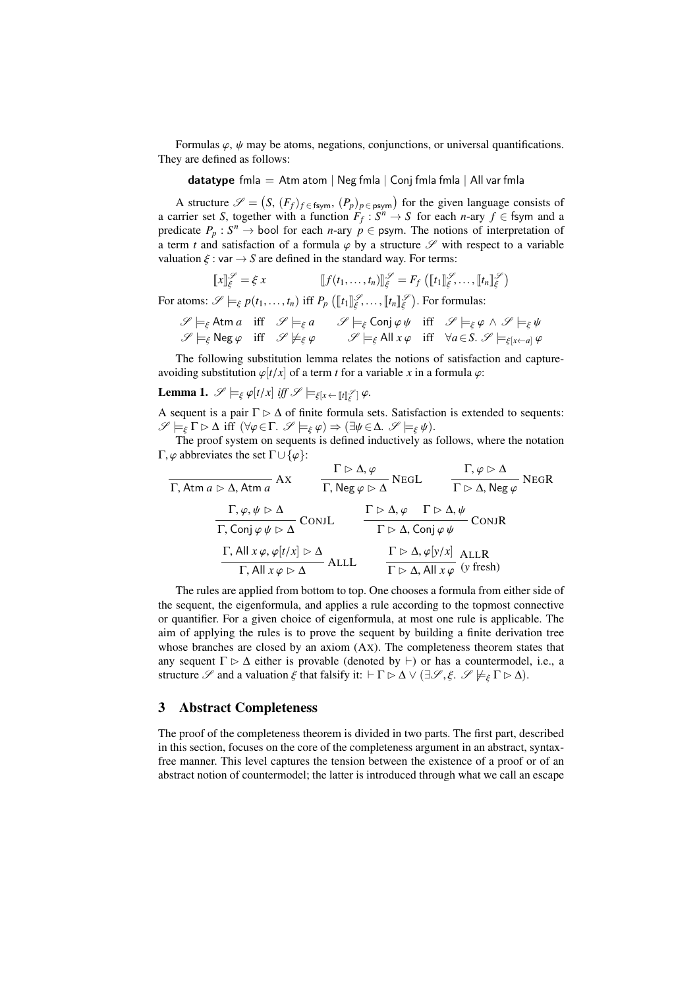Formulas  $\varphi$ ,  $\psi$  may be atoms, negations, conjunctions, or universal quantifications. They are defined as follows:

datatype fmla = Atm atom | Neg fmla | Conj fmla fmla | All var fmla

A structure  $\mathscr{S} = (S, (F_f)_{f \in \text{fsym}}, (P_p)_{p \in \text{psym}})$  for the given language consists of original structure set S together with a function  $F_f \colon S^n \to S$  for each n-ary  $f \in \text{fsym}$  and a a carrier set *S*, together with a function  $F_f: S^n \to S$  for each *n*-ary  $f \in$  fsym and a predicate  $P_p: S^n \to \text{bool}$  for each *n*-ary  $p \in \text{psym}$ . The notions of interpretation of a term *t* and satisfaction of a formula  $\varphi$  by a structure  $\mathscr S$  with respect to a variable valuation  $\xi$  : var  $\rightarrow$  *S* are defined in the standard way. For terms:

$$
\llbracket x \rrbracket_{\xi}^{\mathscr{S}} = \xi \, x \qquad \qquad \llbracket f(t_1, \ldots, t_n) \rrbracket_{\xi}^{\mathscr{S}} = F_f \left( \llbracket t_1 \rrbracket_{\xi}^{\mathscr{S}}, \ldots, \llbracket t_n \rrbracket_{\xi}^{\mathscr{S}} \right)
$$

For atoms:  $\mathscr{S} \models_{\xi} p(t_1, \ldots, t_n)$  iff  $P_p \left( [\![t_1]\!]_{\xi}^{\mathscr{S}}, \ldots, [\![t_n]\!]_{\xi}^{\mathscr{S}} \right)$ . For formulas:

$$
\mathscr{S} \models_{\xi} \text{Atm } a \text{ iff } \mathscr{S} \models_{\xi} a \qquad \mathscr{S} \models_{\xi} \text{Conj } \varphi \psi \text{ iff } \mathscr{S} \models_{\xi} \varphi \land \mathscr{S} \models_{\xi} \psi
$$
  

$$
\mathscr{S} \models_{\xi} \text{Neg } \varphi \text{ iff } \mathscr{S} \not\models_{\xi} \varphi \qquad \mathscr{S} \models_{\xi} \text{All } x \varphi \text{ iff } \forall a \in S. \ \mathscr{S} \models_{\xi[x \leftarrow a]} \varphi
$$

The following substitution lemma relates the notions of satisfaction and captureavoiding substitution  $\varphi[t/x]$  of a term *t* for a variable *x* in a formula  $\varphi$ :

# <span id="page-2-1"></span>**Lemma 1.**  $\mathscr{S} \models_{\xi} \varphi[t/x]$  *iff*  $\mathscr{S} \models_{\xi[x \leftarrow [\![t]\!]_{\xi}^{\mathscr{S}}]} \varphi$ .

A sequent is a pair  $\Gamma \triangleright \Delta$  of finite formula sets. Satisfaction is extended to sequents:  $\mathscr{S} \models_{\xi} \Gamma \triangleright \Delta \text{ iff } (\forall \varphi \in \Gamma \ldotp \mathscr{S} \models_{\xi} \varphi) \Rightarrow (\exists \psi \in \Delta \ldotp \mathscr{S} \models_{\xi} \psi).$ 

The proof system on sequents is defined inductively as follows, where the notation Γ,  $\varphi$  abbreviates the set Γ∪ { $\varphi$ }:

$$
\frac{\Gamma \rhd \Delta, \varphi}{\Gamma, \text{Atm } a \rhd \Delta, \text{Atm } a} \text{AX} \qquad \frac{\Gamma \rhd \Delta, \varphi}{\Gamma, \text{Neg } \varphi \rhd \Delta} \text{NEGL} \qquad \frac{\Gamma, \varphi \rhd \Delta}{\Gamma \rhd \Delta, \text{Neg } \varphi} \text{NEGR}
$$
\n
$$
\frac{\Gamma, \varphi, \psi \rhd \Delta}{\Gamma, \text{Conj } \varphi \psi \rhd \Delta} \text{CONJL} \qquad \frac{\Gamma \rhd \Delta, \varphi \qquad \Gamma \rhd \Delta, \psi}{\Gamma \rhd \Delta, \text{Conj } \varphi \psi} \text{CONJR}
$$
\n
$$
\frac{\Gamma, \text{All } x \varphi, \varphi[t/x] \rhd \Delta}{\Gamma, \text{All } x \varphi \rhd \Delta} \text{ALLL} \qquad \frac{\Gamma \rhd \Delta, \varphi[y/x]}{\Gamma \rhd \Delta, \text{All } x \varphi} \text{ (y fresh)}
$$

The rules are applied from bottom to top. One chooses a formula from either side of the sequent, the eigenformula, and applies a rule according to the topmost connective or quantifier. For a given choice of eigenformula, at most one rule is applicable. The aim of applying the rules is to prove the sequent by building a finite derivation tree whose branches are closed by an axiom (Ax). The completeness theorem states that any sequent  $\Gamma \triangleright \Delta$  either is provable (denoted by  $\vdash$ ) or has a countermodel, i.e., a structure  $\mathscr S$  and a valuation  $\xi$  that falsify it:  $\Gamma \triangleright \Delta \vee (\exists \mathscr{S}, \xi, \mathscr{S} \not\models_{\xi} \Gamma \triangleright \Delta)$ .

### <span id="page-2-0"></span>3 Abstract Completeness

The proof of the completeness theorem is divided in two parts. The first part, described in this section, focuses on the core of the completeness argument in an abstract, syntaxfree manner. This level captures the tension between the existence of a proof or of an abstract notion of countermodel; the latter is introduced through what we call an escape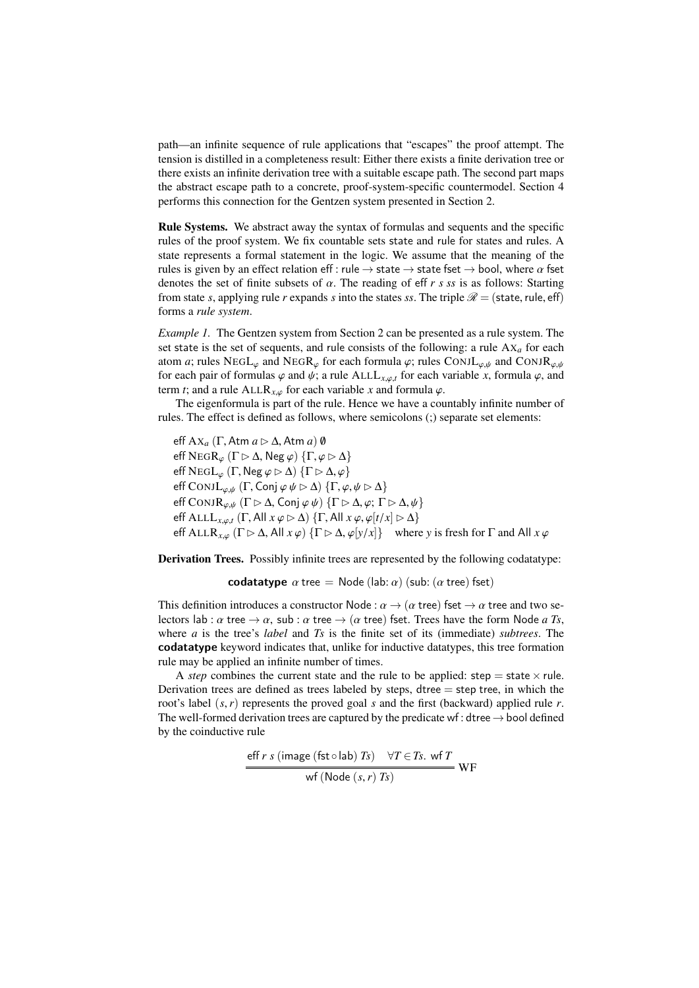path—an infinite sequence of rule applications that "escapes" the proof attempt. The tension is distilled in a completeness result: Either there exists a finite derivation tree or there exists an infinite derivation tree with a suitable escape path. The second part maps the abstract escape path to a concrete, proof-system-specific countermodel. Section [4](#page-8-0) performs this connection for the Gentzen system presented in Section [2.](#page-1-0)

Rule Systems. We abstract away the syntax of formulas and sequents and the specific rules of the proof system. We fix countable sets state and rule for states and rules. A state represents a formal statement in the logic. We assume that the meaning of the rules is given by an effect relation eff : rule  $\rightarrow$  state  $\rightarrow$  state fset  $\rightarrow$  bool, where  $\alpha$  fset denotes the set of finite subsets of α. The reading of eff *r s ss* is as follows: Starting from state *s*, applying rule *r* expands *s* into the states *ss*. The triple  $\mathcal{R} =$  (state, rule, eff) forms a *rule system*.

<span id="page-3-0"></span>*Example 1.* The Gentzen system from Section [2](#page-1-0) can be presented as a rule system. The set state is the set of sequents, and rule consists of the following: a rule  $AX_a$  for each atom *a*; rules NEGL<sub> $\varphi$ </sub> and NEGR<sub> $\varphi$ </sub> for each formula  $\varphi$ ; rules CONJL<sub> $\varphi,\psi$ </sub> and CONJR<sub> $\varphi,\psi$ </sub> for each pair of formulas  $\varphi$  and  $\psi$ ; a rule ALLL<sub>*x*, $\varphi$ </sub>, for each variable *x*, formula  $\varphi$ , and term *t*; and a rule ALLR<sub>*x*, $\varphi$ </sub> for each variable *x* and formula  $\varphi$ .

The eigenformula is part of the rule. Hence we have a countably infinite number of rules. The effect is defined as follows, where semicolons (;) separate set elements:

eff  $\mathbf{A} \mathbf{X}_a$  ( $\Gamma$ , Atm  $a \triangleright \Delta$ , Atm  $a$ )  $\emptyset$ eff  $NEGR_{\varphi}$  ( $\Gamma \rhd \Delta$ , Neg  $\varphi$ )  $\{\Gamma, \varphi \rhd \Delta\}$ eff  $NEGL_{\omega}$  (Γ,  $Neg \varphi \triangleright \Delta$ )  $\{\Gamma \triangleright \Delta, \varphi\}$ eff CONJ $L_{\varphi,\psi}$  (Γ, Conj  $\varphi \psi \triangleright \Delta$ )  $\{\Gamma, \varphi, \psi \triangleright \Delta\}$ eff CONJ $\mathsf{R}_{\varphi,\psi}$  ( $\Gamma \triangleright \Delta$ , Conj  $\varphi \psi$ )  $\{\Gamma \triangleright \Delta, \varphi; \Gamma \triangleright \Delta, \psi\}$ eff ALL $L_{x,\varphi,t}$  (Γ, All  $x \varphi \triangleright \Delta$ ) {Γ, All  $x \varphi, \varphi[t/x] \triangleright \Delta$ } eff ALLR<sub>*x*, $\varphi$ </sub> ( $\Gamma \triangleright \Delta$ , All  $x \varphi$ ) { $\Gamma \triangleright \Delta$ ,  $\varphi$ [*y*/*x*]} where *y* is fresh for  $\Gamma$  and All  $x \varphi$ 

Derivation Trees. Possibly infinite trees are represented by the following codatatype:

codatatype  $\alpha$  tree = Node (lab:  $\alpha$ ) (sub: ( $\alpha$  tree) fset)

This definition introduces a constructor Node :  $\alpha \rightarrow (\alpha \text{ tree})$  fset  $\rightarrow \alpha$  tree and two selectors lab :  $\alpha$  tree  $\rightarrow \alpha$ , sub :  $\alpha$  tree  $\rightarrow (\alpha$  tree) fset. Trees have the form Node *a Ts*, where *a* is the tree's *label* and *Ts* is the finite set of its (immediate) *subtrees*. The codatatype keyword indicates that, unlike for inductive datatypes, this tree formation rule may be applied an infinite number of times.

A *step* combines the current state and the rule to be applied: step = state  $\times$  rule. Derivation trees are defined as trees labeled by steps, dtree  $=$  step tree, in which the root's label (*s*,*r*) represents the proved goal *<sup>s</sup>* and the first (backward) applied rule *<sup>r</sup>*. The well-formed derivation trees are captured by the predicate wf : dtree  $\rightarrow$  bool defined by the coinductive rule

$$
\frac{\text{eff } r \ s \ (\text{image (fst} \circ \text{lab}) \ Ts) \quad \forall T \in Ts. \ \text{wf } T}{\text{wf (Node } (s, r) \ Ts)} \ \text{WF}
$$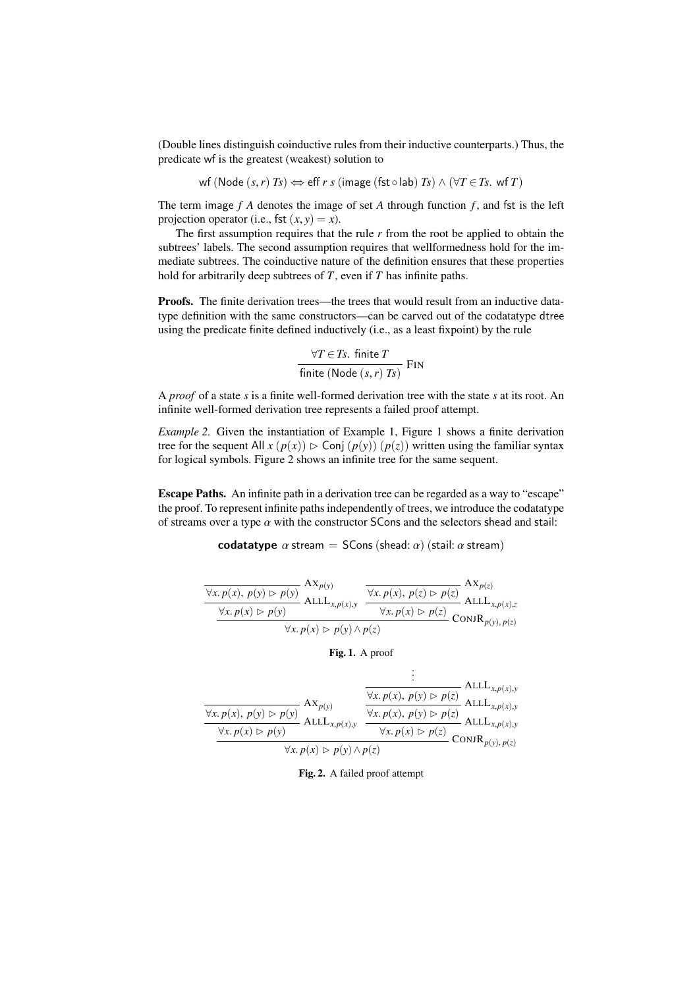(Double lines distinguish coinductive rules from their inductive counterparts.) Thus, the predicate wf is the greatest (weakest) solution to

$$
\mathsf{wf} \, (\mathsf{Node}\, (s,r) \, \mathsf{Ts}) \Leftrightarrow \mathsf{eff} \, \mathsf{r} \, \mathsf{s} \, (\mathsf{image}\, (\mathsf{fst} \circ \mathsf{lab}) \, \mathsf{Ts}) \land (\forall \mathsf{T} \in \mathsf{Ts}. \, \mathsf{wf} \, \mathsf{T})
$$

The term image *f A* denotes the image of set *A* through function *f* , and fst is the left projection operator (i.e., fst  $(x, y) = x$ ).

The first assumption requires that the rule *r* from the root be applied to obtain the subtrees' labels. The second assumption requires that wellformedness hold for the immediate subtrees. The coinductive nature of the definition ensures that these properties hold for arbitrarily deep subtrees of *T*, even if *T* has infinite paths.

Proofs. The finite derivation trees—the trees that would result from an inductive datatype definition with the same constructors—can be carved out of the codatatype dtree using the predicate finite defined inductively (i.e., as a least fixpoint) by the rule

$$
\frac{\forall T \in Ts. \text{ finite } T}{\text{finite } (\text{Node } (s, r) \text{ } Ts)} \text{ FIN}
$$

A *proof* of a state *s* is a finite well-formed derivation tree with the state *s* at its root. An infinite well-formed derivation tree represents a failed proof attempt.

*Example 2.* Given the instantiation of Example [1,](#page-3-0) Figure [1](#page-4-0) shows a finite derivation tree for the sequent All  $x (p(x)) \triangleright$  Conj  $(p(y)) (p(z))$  written using the familiar syntax for logical symbols. Figure [2](#page-4-1) shows an infinite tree for the same sequent.

Escape Paths. An infinite path in a derivation tree can be regarded as a way to "escape" the proof. To represent infinite paths independently of trees, we introduce the codatatype of streams over a type  $\alpha$  with the constructor SCons and the selectors shead and stail:

codatatype  $\alpha$  stream = SCons (shead:  $\alpha$ ) (stail:  $\alpha$  stream)

$$
\frac{\forall x. p(x), p(y) \triangleright p(y)}{\forall x. p(x) \triangleright p(y)} \frac{A X_{p(y)}}{A L L L_{x, p(x), y}} \frac{\forall x. p(x), p(z) \triangleright p(z)}{\forall x. p(x) \triangleright p(z)} \frac{A X_{p(z)}}{A L L L_{x, p(x), z}}{\text{ALL}_{x, p(x), p(z)}} \text{ALL}_{x, p(y), p(z)}
$$

<span id="page-4-0"></span>Fig. 1. A proof

|                                                                                          | $= ALLL_{x,p(x),y}$                                                                                                          |  |
|------------------------------------------------------------------------------------------|------------------------------------------------------------------------------------------------------------------------------|--|
| $AX_{p(y)}$<br>$\overline{\forall x. p(x), p(y)} \triangleright p(y)$ ALL $L_{x,p(x),y}$ | $\overline{\forall x. p(x), p(y) \triangleright p(z)}$ ALL $L_{x,p(x),y}$                                                    |  |
| $\forall x. p(x) \triangleright p(y)$                                                    | $\forall x. p(x), p(y) \triangleright p(z)$ ALL $L_{x,p(x),y}$<br>$\forall x. p(x) \triangleright p(z)$ CONJ $R_{p(y),p(z)}$ |  |
| $\forall x. p(x) \triangleright p(y) \wedge p(z)$                                        |                                                                                                                              |  |

<span id="page-4-1"></span>Fig. 2. A failed proof attempt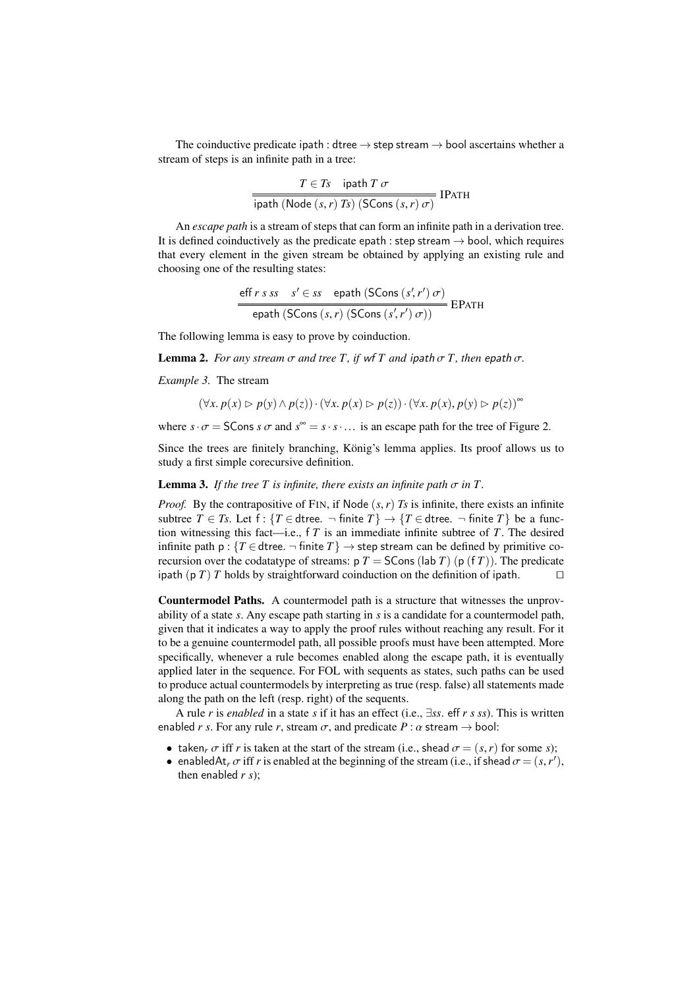The coinductive predicate ipath : dtree  $\rightarrow$  step stream  $\rightarrow$  bool ascertains whether a stream of steps is an infinite path in a tree:

$$
\frac{T \in T_s \quad \text{ipath } T \, \sigma}{\text{ipath } (\text{Node } (s, r) \, T_s) \, (\text{SCons } (s, r) \, \sigma)} \, \text{IPATH}
$$

An *escape path* is a stream of steps that can form an infinite path in a derivation tree. It is defined coinductively as the predicate epath : step stream  $\rightarrow$  bool, which requires that every element in the given stream be obtained by applying an existing rule and choosing one of the resulting states:

eff 
$$
r s s s
$$
  $s' \in ss$   $\text{epath (SCons } (s', r') \sigma)$   
epath (SCons  $(s, r)$  (SCons  $(s', r') \sigma)$ )

<span id="page-5-2"></span>The following lemma is easy to prove by coinduction.

**Lemma 2.** *For any stream*  $\sigma$  *and tree T*, *if* wf *T and ipath* $\sigma$ *T, then* epath $\sigma$ *.* 

<span id="page-5-0"></span>*Example 3.* The stream

 $(\forall x. p(x) \triangleright p(y) \land p(z)) \cdot (\forall x. p(x) \triangleright p(z)) \cdot (\forall x. p(x), p(y) \triangleright p(z))^{\infty}$ 

where  $s \cdot \sigma =$  SCons  $s \sigma$  and  $s^{\infty} = s \cdot s \cdot ...$  is an escape path for the tree of Figure [2.](#page-4-1)

Since the trees are finitely branching, König's lemma applies. Its proof allows us to study a first simple corecursive definition.

<span id="page-5-1"></span>**Lemma 3.** *If the tree*  $T$  *is infinite, there exists an infinite path*  $\sigma$  *in*  $T$ *.* 

*Proof.* By the contrapositive of FIN, if Node  $(s, r)$  *Ts* is infinite, there exists an infinite subtree *T* ∈ *Ts*. Let f : {*T* ∈ dtree.  $\neg$  finite *T*}  $\rightarrow$  {*T* ∈ dtree.  $\neg$  finite *T*} be a function witnessing this fact—i.e., f *T* is an immediate infinite subtree of *T*. The desired infinite path  $p: \{T \in \text{dtree.} \rightarrow \text{finite } T\} \rightarrow \text{step stream can be defined by primitive co$ recursion over the codatatype of streams:  $p T = S \text{Cons} (\text{lab } T) (p (f T))$ . The predicate ipath (p *T*) *T* holds by straightforward coinduction on the definition of ipath.  $\Box$ 

Countermodel Paths. A countermodel path is a structure that witnesses the unprovability of a state *s*. Any escape path starting in *s* is a candidate for a countermodel path, given that it indicates a way to apply the proof rules without reaching any result. For it to be a genuine countermodel path, all possible proofs must have been attempted. More specifically, whenever a rule becomes enabled along the escape path, it is eventually applied later in the sequence. For FOL with sequents as states, such paths can be used to produce actual countermodels by interpreting as true (resp. false) all statements made along the path on the left (resp. right) of the sequents.

A rule *<sup>r</sup>* is *enabled* in a state *<sup>s</sup>* if it has an effect (i.e., <sup>∃</sup>*ss*. eff *r s ss*). This is written enabled *r s*. For any rule *r*, stream  $\sigma$ , and predicate  $P : \alpha$  stream  $\rightarrow$  bool:

- taken<sub>*r*</sub>  $\sigma$  iff *r* is taken at the start of the stream (i.e., shead  $\sigma = (s, r)$  for some *s*);
- enabledAt<sub>*r*</sub>  $\sigma$  iff *r* is enabled at the beginning of the stream (i.e., if shead  $\sigma = (s, r')$ , then enabled *r* s): then enabled *r s*);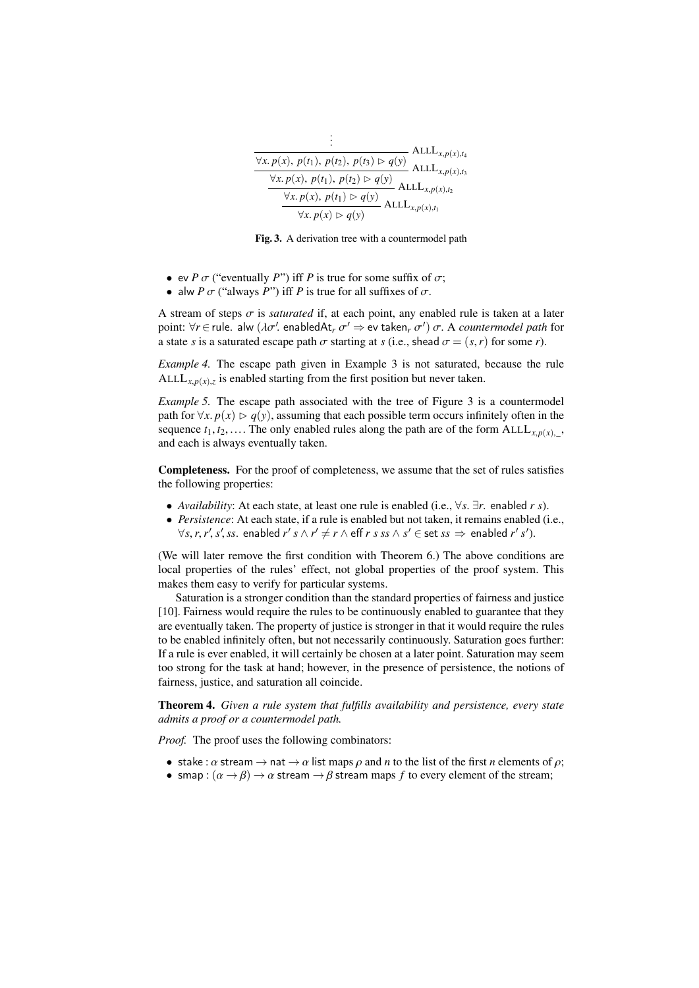| $ALLL_{x,p(x),t_4}$                                                                                                                                                                                                                                                                                                       |  |
|---------------------------------------------------------------------------------------------------------------------------------------------------------------------------------------------------------------------------------------------------------------------------------------------------------------------------|--|
| $\frac{\forall x. p(x), p(t_1), p(t_2), p(t_3) \triangleright q(y)}{\forall x. p(x), p(t_1), p(t_2) \triangleright q(y)}$ ALL $L_{x,p(x),t_3}$<br>$\frac{\forall x. p(x), p(t_1), p(t_2) \triangleright q(y)}{\forall x. p(x), p(t_1) \triangleright q(y)}$ ALL $L_{x,p(x),t_1}$<br>$\forall x. p(x) \triangleright q(y)$ |  |
|                                                                                                                                                                                                                                                                                                                           |  |
|                                                                                                                                                                                                                                                                                                                           |  |

<span id="page-6-0"></span>Fig. 3. A derivation tree with a countermodel path

- ev *P*  $\sigma$  ("eventually *P*") iff *P* is true for some suffix of  $\sigma$ ;
- alw *P*  $\sigma$  ("always *P*") iff *P* is true for all suffixes of  $\sigma$ .

A stream of steps  $\sigma$  is *saturated* if, at each point, any enabled rule is taken at a later point:  $\forall r \in \text{rule.}$  alw  $(\lambda \sigma')$  enabledAt<sub>*r*</sub>  $\sigma' \Rightarrow$  ev taken<sub>*r*</sub>  $\sigma'$ )  $\sigma$ . A *countermodel path* for a state *s* is a saturated escape path  $\sigma$  starting at *s* (i.e., shead  $\sigma = (s, r)$  for some *r*).

*Example 4.* The escape path given in Example [3](#page-5-0) is not saturated, because the rule ALL $L_{x,p(x),z}$  is enabled starting from the first position but never taken.

*Example 5.* The escape path associated with the tree of Figure [3](#page-6-0) is a countermodel path for  $\forall x. p(x) \triangleright q(y)$ , assuming that each possible term occurs infinitely often in the sequence  $t_1, t_2, \ldots$  The only enabled rules along the path are of the form  $ALL_{x,p(x),}$ , and each is always eventually taken.

Completeness. For the proof of completeness, we assume that the set of rules satisfies the following properties:

- *Availability*: At each state, at least one rule is enabled (i.e., <sup>∀</sup>*s*. <sup>∃</sup>*r*. enabled *r s*).
- *Persistence*: At each state, if a rule is enabled but not taken, it remains enabled (i.e.,  $\forall s, r, r', s', ss$ . enabled  $r' s \wedge r' \neq r \wedge \text{eff } r s s s \wedge s' \in \text{set } ss \Rightarrow \text{ enabled } r' s'.$

(We will later remove the first condition with Theorem [6.](#page-8-1)) The above conditions are local properties of the rules' effect, not global properties of the proof system. This makes them easy to verify for particular systems.

Saturation is a stronger condition than the standard properties of fairness and justice [\[10\]](#page-13-4). Fairness would require the rules to be continuously enabled to guarantee that they are eventually taken. The property of justice is stronger in that it would require the rules to be enabled infinitely often, but not necessarily continuously. Saturation goes further: If a rule is ever enabled, it will certainly be chosen at a later point. Saturation may seem too strong for the task at hand; however, in the presence of persistence, the notions of fairness, justice, and saturation all coincide.

<span id="page-6-1"></span>Theorem 4. *Given a rule system that fulfills availability and persistence, every state admits a proof or a countermodel path.*

*Proof.* The proof uses the following combinators:

- stake :  $\alpha$  stream  $\rightarrow$  nat  $\rightarrow \alpha$  list maps  $\rho$  and  $n$  to the list of the first  $n$  elements of  $\rho$ ;
- smap :  $(\alpha \rightarrow \beta) \rightarrow \alpha$  stream  $\rightarrow \beta$  stream maps f to every element of the stream;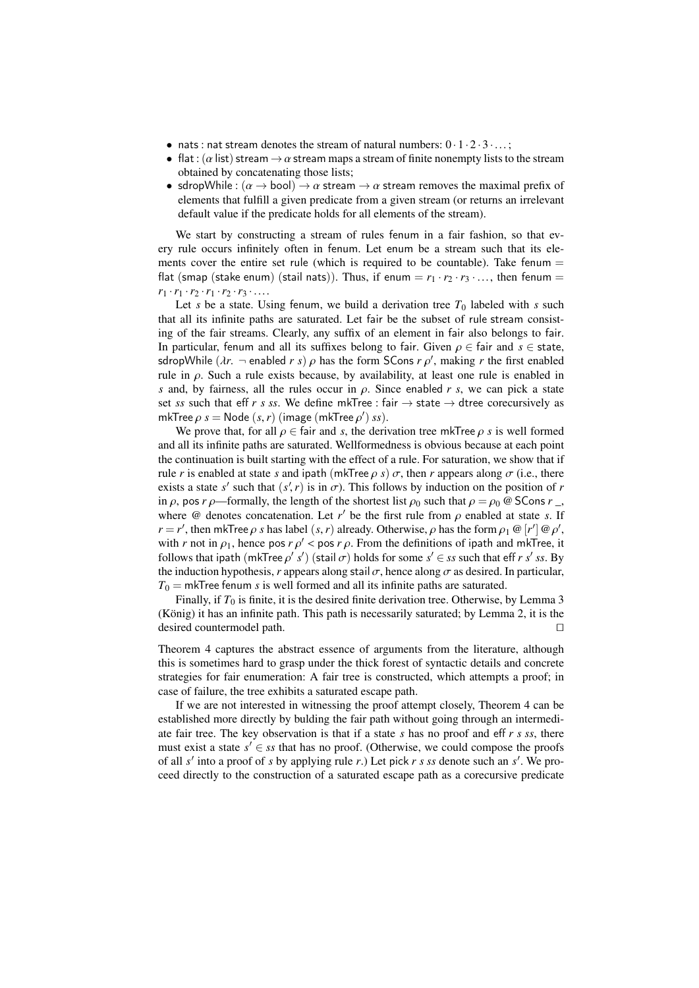- nats : nat stream denotes the stream of natural numbers:  $0.1.2.3...$ ;
- flat: ( $\alpha$  list) stream  $\rightarrow \alpha$  stream maps a stream of finite nonempty lists to the stream obtained by concatenating those lists;
- sdropWhile :  $(\alpha \rightarrow \text{bool}) \rightarrow \alpha$  stream  $\rightarrow \alpha$  stream removes the maximal prefix of elements that fulfill a given predicate from a given stream (or returns an irrelevant default value if the predicate holds for all elements of the stream).

We start by constructing a stream of rules fenum in a fair fashion, so that every rule occurs infinitely often in fenum. Let enum be a stream such that its elements cover the entire set rule (which is required to be countable). Take fenum  $=$ flat (smap (stake enum) (stail nats)). Thus, if enum =  $r_1 \cdot r_2 \cdot r_3 \cdot ...$ , then fenum =  $r_1 \cdot r_1 \cdot r_2 \cdot r_1 \cdot r_2 \cdot r_3 \cdot \ldots$ 

Let *s* be a state. Using fenum, we build a derivation tree  $T_0$  labeled with *s* such that all its infinite paths are saturated. Let fair be the subset of rule stream consisting of the fair streams. Clearly, any suffix of an element in fair also belongs to fair. In particular, fenum and all its suffixes belong to fair. Given  $\rho \in \text{fair}$  and  $s \in \text{state}$ , sdropWhile  $(\lambda r, - \text{enabled } r s) \rho$  has the form SCons  $r \rho'$ , making *r* the first enabled<br>rule in  $\rho$ . Such a rule exists because, by availability at least one rule is enabled in rule in  $\rho$ . Such a rule exists because, by availability, at least one rule is enabled in *s* and, by fairness, all the rules occur in  $\rho$ . Since enabled *r s*, we can pick a state set *ss* such that eff *r s ss*. We define mkTree : fair  $\rightarrow$  state  $\rightarrow$  dtree corecursively as mkTree  $\rho$  *s* = Node (*s*, *r*) (image (mkTree  $\rho'$ ) *ss*).<br>We prove that for all  $\rho \in$  fair and *s* the derive

We prove that, for all  $\rho \in$  fair and *s*, the derivation tree mkTree  $\rho$  *s* is well formed and all its infinite paths are saturated. Wellformedness is obvious because at each point the continuation is built starting with the effect of a rule. For saturation, we show that if rule *r* is enabled at state *s* and ipath (mkTree  $\rho$  *s*)  $\sigma$ , then *r* appears along  $\sigma$  (i.e., there exists a state *s'* such that  $(s', r)$  is in  $\sigma$ ). This follows by induction on the position of *r* in  $\alpha$ , nos *r*  $\alpha$ —formally the length of the shortest list  $\alpha_0$  such that  $\alpha - \alpha_0 \otimes S$ Cons *r* in  $\rho$ , pos  $r \rho$ —formally, the length of the shortest list  $\rho_0$  such that  $\rho = \rho_0 \otimes$  SCons  $r_$ , where  $\omega$  denotes concatenation. Let *r'* be the first rule from  $\rho$  enabled at state *s*. If  $r - r'$  then  $m$  **From**  $\alpha$  s has label (s r) already. Otherwise,  $\alpha$  has the form  $\alpha$ ,  $\omega$   $\alpha'$   $\alpha'$ *r* = *r'*, then mkTree *ρ s* has label (*s*,*r*) already. Otherwise, *ρ* has the form *ρ*<sub>1</sub> @ [*r'*] @ *ρ'*, with *r* not in *o*, hence nos *r o'* < nos *r* 0. From the definitions of insthe and mkTree, it with *r* not in  $\rho_1$ , hence pos  $r \rho' <$  pos  $r \rho$ . From the definitions of ipath and mkTree, it follows that insth (mkTree  $\rho'$  s') (stail  $\sigma$ ) holds for some  $s' \in$  ss such that eff  $r s'$  ss. By follows that ipath  $(mkTree \rho' s')$  (stail  $\sigma$ ) holds for some  $s' \in ss$  such that eff *r s' ss*. By the induction hypothesis, *r* appears along stail  $\sigma$ , hence along  $\sigma$  as desired. In particular,  $T_0 = m$  KTree fenum *s* is well formed and all its infinite paths are saturated.

Finally, if  $T_0$  is finite, it is the desired finite derivation tree. Otherwise, by Lemma [3](#page-5-1) (König) it has an infinite path. This path is necessarily saturated; by Lemma [2,](#page-5-2) it is the desired countermodel path.

Theorem [4](#page-6-1) captures the abstract essence of arguments from the literature, although this is sometimes hard to grasp under the thick forest of syntactic details and concrete strategies for fair enumeration: A fair tree is constructed, which attempts a proof; in case of failure, the tree exhibits a saturated escape path.

If we are not interested in witnessing the proof attempt closely, Theorem [4](#page-6-1) can be established more directly by bulding the fair path without going through an intermediate fair tree. The key observation is that if a state *s* has no proof and eff *r s ss*, there must exist a state  $s' \in \mathfrak{ss}$  that has no proof. (Otherwise, we could compose the proofs of all *s'* into a proof of *s* by applying rule *r*.) Let pick *r s ss* denote such an *s'*. We proceed directly to the construction of a saturated escape path as a corecursive predicate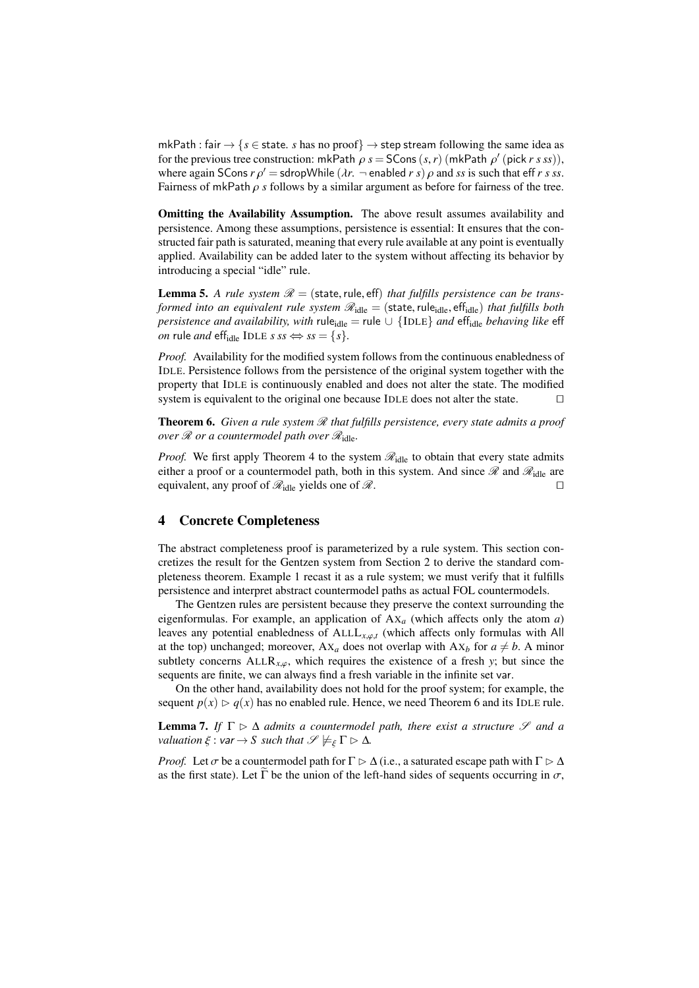mkPath : fair  $\rightarrow$  { $s \in$  state. *s* has no proof}  $\rightarrow$  step stream following the same idea as for the previous tree construction: mkPath  $\rho s = S\text{Cons}(s, r)$  (mkPath  $\rho'$  (pick *r s ss*)),<br>where again  $S\text{Cons }r\alpha' = \text{stanhWhile } (\lambda r - \text{enphled }r s)$  a and ss is such that eff r s ss where again SCons  $r \rho' =$  sdropWhile  $(\lambda r. -$  enabled  $r s) \rho$  and *ss* is such that eff  $r s s s$ .<br>Fairness of mkPath  $\rho$  s follows by a similar argument as before for fairness of the tree Fairness of mkPath ρ *<sup>s</sup>* follows by a similar argument as before for fairness of the tree.

Omitting the Availability Assumption. The above result assumes availability and persistence. Among these assumptions, persistence is essential: It ensures that the constructed fair path is saturated, meaning that every rule available at any point is eventually applied. Availability can be added later to the system without affecting its behavior by introducing a special "idle" rule.

**Lemma 5.** A rule system  $\mathcal{R} =$  (state, rule, eff) that fulfills persistence can be trans*formed into an equivalent rule system*  $\mathcal{R}_{idle} = (\text{state}, \text{rule}_{idle}, \text{eff}_{idle})$  *that fulfills both persistence and availability, with* rule<sub>idle</sub> = rule  $\cup$  {IDLE} *and* eff<sub>idle</sub> *behaving like* eff *on* rule *and* eff<sub>idle</sub> IDLE *s ss*  $\Leftrightarrow$  *ss* = {*s*}*.* 

*Proof.* Availability for the modified system follows from the continuous enabledness of IDLE. Persistence follows from the persistence of the original system together with the property that IDLE is continuously enabled and does not alter the state. The modified system is equivalent to the original one because IDLE does not alter the state.  $\Box$ 

<span id="page-8-1"></span>**Theorem 6.** *Given a rule system*  $\Re$  *that fulfills persistence, every state admits a proof over*  $\Re$  *or a countermodel path over*  $\Re$ <sub>idle</sub>.

*Proof.* We first apply Theorem [4](#page-6-1) to the system  $\mathcal{R}_{idle}$  to obtain that every state admits either a proof or a countermodel path, both in this system. And since  $\mathscr R$  and  $\mathscr R_{\mathrm{idle}}$  are equivalent, any proof of  $\mathcal{R}_{\text{idle}}$  yields one of  $\mathcal{R}$ .

### <span id="page-8-0"></span>4 Concrete Completeness

The abstract completeness proof is parameterized by a rule system. This section concretizes the result for the Gentzen system from Section [2](#page-1-0) to derive the standard completeness theorem. Example [1](#page-3-0) recast it as a rule system; we must verify that it fulfills persistence and interpret abstract countermodel paths as actual FOL countermodels.

The Gentzen rules are persistent because they preserve the context surrounding the eigenformulas. For example, an application of AX*<sup>a</sup>* (which affects only the atom *a*) leaves any potential enabledness of  $ALL_{x, \varphi, t}$  (which affects only formulas with All at the top) unchanged; moreover,  $Ax_a$  does not overlap with  $Ax_b$  for  $a \neq b$ . A minor subtlety concerns  $ALLR_{x,\varphi}$ , which requires the existence of a fresh *y*; but since the sequents are finite, we can always find a fresh variable in the infinite set var.

On the other hand, availability does not hold for the proof system; for example, the sequent  $p(x) \ge q(x)$  has no enabled rule. Hence, we need Theorem [6](#page-8-1) and its IDLE rule.

<span id="page-8-2"></span>**Lemma 7.** *If*  $\Gamma \triangleright \Delta$  *admits a countermodel path, there exist a structure*  $\mathscr{S}$  *and a valuation*  $\xi$  : var  $\rightarrow$  *S such that*  $\mathscr{S} \not\models_{\xi} \Gamma \triangleright \Delta$ *.* 

*Proof.* Let  $\sigma$  be a countermodel path for  $\Gamma \triangleright \Delta$  (i.e., a saturated escape path with  $\Gamma \triangleright \Delta$ as the first state). Let  $\Gamma$  be the union of the left-hand sides of sequents occurring in  $\sigma$ ,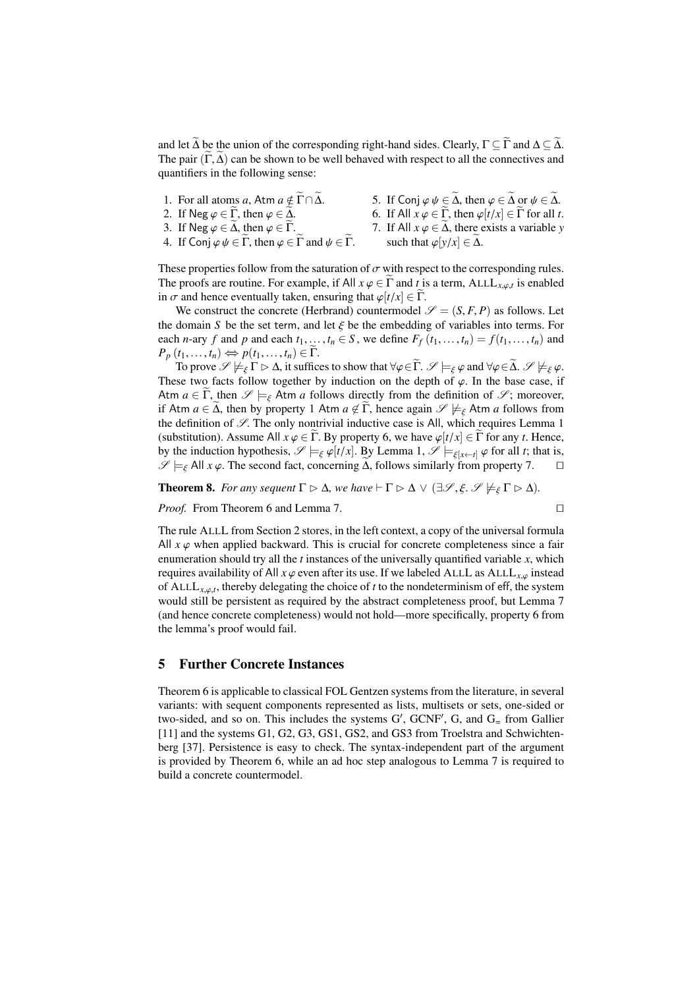and let  $\widetilde{\Delta}$  be the union of the corresponding right-hand sides. Clearly,  $\Gamma \subseteq \widetilde{\Gamma}$  and  $\Delta \subseteq \widetilde{\Delta}$ . The pair  $(\tilde{\Gamma}, \tilde{\Delta})$  can be shown to be well behaved with respect to all the connectives and quantifiers in the following sense:

| 1. For all atoms a, Atm $a \notin \Gamma \cap \Delta$ .                                                                      | 5. If Conj $\varphi \psi \in \Delta$ , then $\varphi \in \Delta$ or $\psi \in \Delta$ .<br>6. If All $x \varphi \in \Gamma$ , then $\varphi[t/x] \in \Gamma$ for all t. |
|------------------------------------------------------------------------------------------------------------------------------|-------------------------------------------------------------------------------------------------------------------------------------------------------------------------|
| 2. If Neg $\varphi \in \Gamma$ , then $\varphi \in \Delta$ .<br>3. If Neg $\varphi \in \Delta$ , then $\varphi \in \Gamma$ . | 7. If All $x \varphi \in \Delta$ , there exists a variable y                                                                                                            |
| 4. If Conj $\varphi \psi \in \Gamma$ , then $\varphi \in \Gamma$ and $\psi \in \Gamma$ .                                     | such that $\varphi[y/x] \in \Delta$ .                                                                                                                                   |

These properties follow from the saturation of  $\sigma$  with respect to the corresponding rules. The proofs are routine. For example, if All  $x \varphi \in \Gamma$  and *t* is a term, ALLL<sub>*x*, $\varphi$ ,*t* is enabled<br>in  $\sigma$  and hence eventually taken, ensuring that  $\varphi[t/x] \in \widetilde{\Gamma}$ </sub> in  $\sigma$  and hence eventually taken, ensuring that  $\varphi[t/x] \in \widetilde{\Gamma}$ .

We construct the concrete (Herbrand) countermodel  $\mathscr{S} = (S, F, P)$  as follows. Let the domain *S* be the set term, and let  $\xi$  be the embedding of variables into terms. For each *n*-ary *f* and *p* and each  $t_1, \ldots, t_n \in S$ , we define  $F_f(t_1, \ldots, t_n) = f(t_1, \ldots, t_n)$  and  $P_p(t_1,\ldots,t_n)\Leftrightarrow p(t_1,\ldots,t_n)\in\Gamma.$ 

To prove  $\mathscr{S} \not\models_{\varepsilon} \Gamma \triangleright \Delta$ , it suffices to show that  $\forall \varphi \in \widetilde{\Gamma}$ .  $\mathscr{S} \models_{\varepsilon} \varphi$  and  $\forall \varphi \in \widetilde{\Delta}$ .  $\mathscr{S} \not\models_{\varepsilon} \varphi$ . These two facts follow together by induction on the depth of  $\varphi$ . In the base case, if Atm  $a \in \tilde{\Gamma}$ , then  $\mathscr{S} \models_{\xi}$  Atm *a* follows directly from the definition of  $\mathscr{S}$ ; moreover, if Atm  $a \in \tilde{\Delta}$ , then by property 1 Atm  $a \notin \tilde{\Gamma}$ , hence again  $\mathscr{S} \not\models_{\xi}$  Atm  $a$  follows from the definition of  $\mathcal{S}$ . The only nontrivial inductive case is All, which requires Lemma [1](#page-2-1) (substitution). Assume All  $x \varphi \in \Gamma$ . By property 6, we have  $\varphi[t/x] \in \Gamma$  for any *t*. Hence, by the induction hypothesis,  $\mathscr{S} \models_{\xi} \varphi[t/x]$ . By Lemma [1,](#page-2-1)  $\mathscr{S} \models_{\xi[x \leftarrow t]} \varphi$  for all *t*; that is,  $\mathscr{S} \models_{\xi} \text{All } x \varphi$ . The second fact, concerning  $\widetilde{\Delta}$ , follows similarly from property 7.  $\mathscr{S} \models_{\xi}$  All *x*  $\varphi$ . The second fact, concerning  $\tilde{\Delta}$ , follows similarly from property 7.

**Theorem 8.** *For any sequent*  $\Gamma \triangleright \Delta$ *, we have*  $\vdash \Gamma \triangleright \Delta \vee (\exists \mathcal{S}, \xi, \mathcal{S} \not\models_{\xi} \Gamma \triangleright \Delta)$ *.* 

*Proof.* From Theorem [6](#page-8-1) and Lemma [7.](#page-8-2)

$$
\qquad \qquad \Box
$$

The rule ALLL from Section [2](#page-1-0) stores, in the left context, a copy of the universal formula All  $x \varphi$  when applied backward. This is crucial for concrete completeness since a fair enumeration should try all the *t* instances of the universally quantified variable *x*, which requires availability of All  $x \varphi$  even after its use. If we labeled ALLL as ALLL<sub>x $\varphi$ </sub> instead of ALL $L_{x,\varphi,t}$ , thereby delegating the choice of *t* to the nondeterminism of eff, the system<br>would still be persistent as required by the shatraat completences proof, but I amme? would still be persistent as required by the abstract completeness proof, but Lemma [7](#page-8-2) (and hence concrete completeness) would not hold—more specifically, property 6 from the lemma's proof would fail.

# <span id="page-9-0"></span>5 Further Concrete Instances

Theorem [6](#page-8-1) is applicable to classical FOL Gentzen systems from the literature, in several variants: with sequent components represented as lists, multisets or sets, one-sided or two-sided, and so on. This includes the systems  $G'$ ,  $GCNF'$ ,  $G$ , and  $G$  = from Gallier [\[11\]](#page-13-1) and the systems G1, G2, G3, GS1, GS2, and GS3 from Troelstra and Schwichtenberg [\[37\]](#page-14-6). Persistence is easy to check. The syntax-independent part of the argument is provided by Theorem [6,](#page-8-1) while an ad hoc step analogous to Lemma [7](#page-8-2) is required to build a concrete countermodel.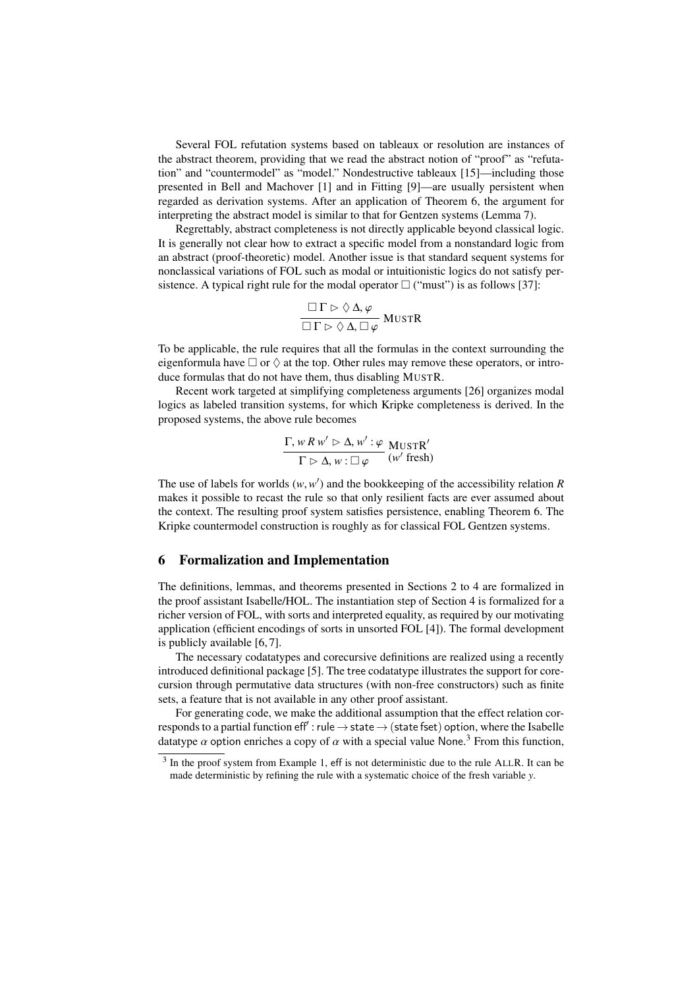Several FOL refutation systems based on tableaux or resolution are instances of the abstract theorem, providing that we read the abstract notion of "proof" as "refutation" and "countermodel" as "model." Nondestructive tableaux [\[15\]](#page-14-7)—including those presented in Bell and Machover [\[1\]](#page-13-5) and in Fitting [\[9\]](#page-13-6)—are usually persistent when regarded as derivation systems. After an application of Theorem [6,](#page-8-1) the argument for interpreting the abstract model is similar to that for Gentzen systems (Lemma [7\)](#page-8-2).

Regrettably, abstract completeness is not directly applicable beyond classical logic. It is generally not clear how to extract a specific model from a nonstandard logic from an abstract (proof-theoretic) model. Another issue is that standard sequent systems for nonclassical variations of FOL such as modal or intuitionistic logics do not satisfy persistence. A typical right rule for the modal operator  $\Box$  ("must") is as follows [\[37\]](#page-14-6):

$$
\frac{\Box \Gamma \rhd \Diamond \Delta, \varphi}{\Box \Gamma \rhd \Diamond \Delta, \Box \varphi} \text{MUSTR}
$$

To be applicable, the rule requires that all the formulas in the context surrounding the eigenformula have  $\Box$  or  $\Diamond$  at the top. Other rules may remove these operators, or introduce formulas that do not have them, thus disabling MUSTR.

Recent work targeted at simplifying completeness arguments [\[26\]](#page-14-8) organizes modal logics as labeled transition systems, for which Kripke completeness is derived. In the proposed systems, the above rule becomes

$$
\frac{\Gamma, w R w' \triangleright \Delta, w' : \varphi \text{ MUSTR}'}{\Gamma \triangleright \Delta, w : \square \varphi} \frac{\text{MUSTR}'}{\text{(w' fresh)}}
$$

The use of labels for worlds  $(w, w')$  and the bookkeeping of the accessibility relation *R* makes it possible to recast the rule so that only resilient facts are ever assumed about makes it possible to recast the rule so that only resilient facts are ever assumed about the context. The resulting proof system satisfies persistence, enabling Theorem [6.](#page-8-1) The Kripke countermodel construction is roughly as for classical FOL Gentzen systems.

#### <span id="page-10-0"></span>6 Formalization and Implementation

The definitions, lemmas, and theorems presented in Sections [2](#page-1-0) to [4](#page-8-0) are formalized in the proof assistant Isabelle/HOL. The instantiation step of Section [4](#page-8-0) is formalized for a richer version of FOL, with sorts and interpreted equality, as required by our motivating application (efficient encodings of sorts in unsorted FOL [\[4\]](#page-13-7)). The formal development is publicly available [\[6,](#page-13-8) [7\]](#page-13-9).

The necessary codatatypes and corecursive definitions are realized using a recently introduced definitional package [\[5\]](#page-13-2). The tree codatatype illustrates the support for corecursion through permutative data structures (with non-free constructors) such as finite sets, a feature that is not available in any other proof assistant.

For generating code, we make the additional assumption that the effect relation corresponds to a partial function  $\mathsf{eff}'$  : rule  $\to$  state  $\to$  (state fset) option, where the Isabelle datatype  $\alpha$  option enriches a copy of  $\alpha$  with a special value None.<sup>[3](#page-10-1)</sup> From this function,

<span id="page-10-1"></span> $3$  In the proof system from Example [1,](#page-3-0) eff is not deterministic due to the rule ALLR. It can be made deterministic by refining the rule with a systematic choice of the fresh variable *y*.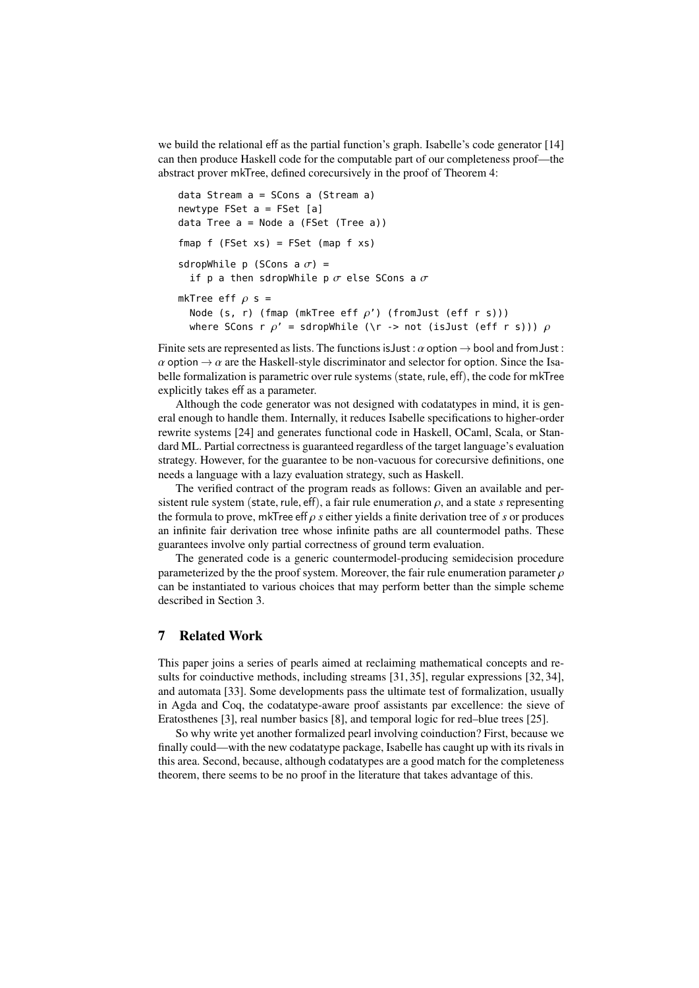we build the relational eff as the partial function's graph. Isabelle's code generator [\[14\]](#page-14-4) can then produce Haskell code for the computable part of our completeness proof—the abstract prover mkTree, defined corecursively in the proof of Theorem [4:](#page-6-1)

```
data Stream a = SCons a (Stream a)
newtype FSet a = FSet [a]data Tree a = Node a (FSet (Tree a))
fmap f (FSet xs) = FSet (map f xs)
sdropWhile p (SCons a \sigma) =
  if p a then sdropWhile p \sigma else SCons a \sigmamkTree eff \rho s =
  Node (s, r) (fmap (mkTree eff \rho') (fromJust (eff r s)))
  where SCons r \rho' = sdropWhile (\r -> not (isJust (eff r s))) \rho
```
Finite sets are represented as lists. The functions is Just:  $\alpha$  option  $\rightarrow$  bool and from Just:  $\alpha$  option  $\rightarrow \alpha$  are the Haskell-style discriminator and selector for option. Since the Isabelle formalization is parametric over rule systems (state, rule, eff), the code for mkTree explicitly takes eff as a parameter.

Although the code generator was not designed with codatatypes in mind, it is general enough to handle them. Internally, it reduces Isabelle specifications to higher-order rewrite systems [\[24\]](#page-14-9) and generates functional code in Haskell, OCaml, Scala, or Standard ML. Partial correctness is guaranteed regardless of the target language's evaluation strategy. However, for the guarantee to be non-vacuous for corecursive definitions, one needs a language with a lazy evaluation strategy, such as Haskell.

The verified contract of the program reads as follows: Given an available and persistent rule system (state, rule, eff), a fair rule enumeration  $\rho$ , and a state *s* representing the formula to prove, mkTree eff ρ *<sup>s</sup>* either yields a finite derivation tree of *<sup>s</sup>* or produces an infinite fair derivation tree whose infinite paths are all countermodel paths. These guarantees involve only partial correctness of ground term evaluation.

The generated code is a generic countermodel-producing semidecision procedure parameterized by the the proof system. Moreover, the fair rule enumeration parameter  $\rho$ can be instantiated to various choices that may perform better than the simple scheme described in Section [3.](#page-2-0)

# 7 Related Work

This paper joins a series of pearls aimed at reclaiming mathematical concepts and results for coinductive methods, including streams [\[31,](#page-14-10) [35\]](#page-14-11), regular expressions [\[32,](#page-14-12) [34\]](#page-14-13), and automata [\[33\]](#page-14-14). Some developments pass the ultimate test of formalization, usually in Agda and Coq, the codatatype-aware proof assistants par excellence: the sieve of Eratosthenes [\[3\]](#page-13-10), real number basics [\[8\]](#page-13-11), and temporal logic for red–blue trees [\[25\]](#page-14-15).

So why write yet another formalized pearl involving coinduction? First, because we finally could—with the new codatatype package, Isabelle has caught up with its rivals in this area. Second, because, although codatatypes are a good match for the completeness theorem, there seems to be no proof in the literature that takes advantage of this.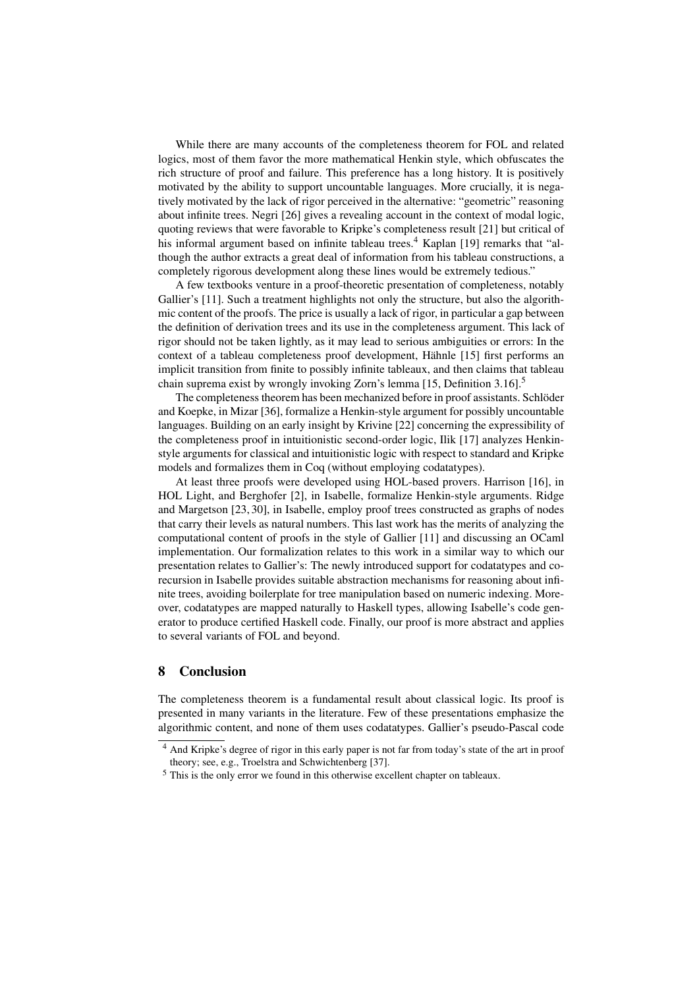While there are many accounts of the completeness theorem for FOL and related logics, most of them favor the more mathematical Henkin style, which obfuscates the rich structure of proof and failure. This preference has a long history. It is positively motivated by the ability to support uncountable languages. More crucially, it is negatively motivated by the lack of rigor perceived in the alternative: "geometric" reasoning about infinite trees. Negri [\[26\]](#page-14-8) gives a revealing account in the context of modal logic, quoting reviews that were favorable to Kripke's completeness result [\[21\]](#page-14-16) but critical of his informal argument based on infinite tableau trees.<sup>[4](#page-12-0)</sup> Kaplan [\[19\]](#page-14-17) remarks that "although the author extracts a great deal of information from his tableau constructions, a completely rigorous development along these lines would be extremely tedious."

A few textbooks venture in a proof-theoretic presentation of completeness, notably Gallier's [\[11\]](#page-13-1). Such a treatment highlights not only the structure, but also the algorithmic content of the proofs. The price is usually a lack of rigor, in particular a gap between the definition of derivation trees and its use in the completeness argument. This lack of rigor should not be taken lightly, as it may lead to serious ambiguities or errors: In the context of a tableau completeness proof development, Hähnle [\[15\]](#page-14-7) first performs an implicit transition from finite to possibly infinite tableaux, and then claims that tableau chain suprema exist by wrongly invoking Zorn's lemma [\[15,](#page-14-7) Definition 3.16].[5](#page-12-1)

The completeness theorem has been mechanized before in proof assistants. Schlöder and Koepke, in Mizar [\[36\]](#page-14-18), formalize a Henkin-style argument for possibly uncountable languages. Building on an early insight by Krivine [\[22\]](#page-14-19) concerning the expressibility of the completeness proof in intuitionistic second-order logic, Ilik [\[17\]](#page-14-20) analyzes Henkinstyle arguments for classical and intuitionistic logic with respect to standard and Kripke models and formalizes them in Coq (without employing codatatypes).

At least three proofs were developed using HOL-based provers. Harrison [\[16\]](#page-14-21), in HOL Light, and Berghofer [\[2\]](#page-13-12), in Isabelle, formalize Henkin-style arguments. Ridge and Margetson [\[23,](#page-14-22) [30\]](#page-14-23), in Isabelle, employ proof trees constructed as graphs of nodes that carry their levels as natural numbers. This last work has the merits of analyzing the computational content of proofs in the style of Gallier [\[11\]](#page-13-1) and discussing an OCaml implementation. Our formalization relates to this work in a similar way to which our presentation relates to Gallier's: The newly introduced support for codatatypes and corecursion in Isabelle provides suitable abstraction mechanisms for reasoning about infinite trees, avoiding boilerplate for tree manipulation based on numeric indexing. Moreover, codatatypes are mapped naturally to Haskell types, allowing Isabelle's code generator to produce certified Haskell code. Finally, our proof is more abstract and applies to several variants of FOL and beyond.

# 8 Conclusion

The completeness theorem is a fundamental result about classical logic. Its proof is presented in many variants in the literature. Few of these presentations emphasize the algorithmic content, and none of them uses codatatypes. Gallier's pseudo-Pascal code

<span id="page-12-0"></span><sup>4</sup> And Kripke's degree of rigor in this early paper is not far from today's state of the art in proof theory; see, e.g., Troelstra and Schwichtenberg [\[37\]](#page-14-6).

<span id="page-12-1"></span><sup>5</sup> This is the only error we found in this otherwise excellent chapter on tableaux.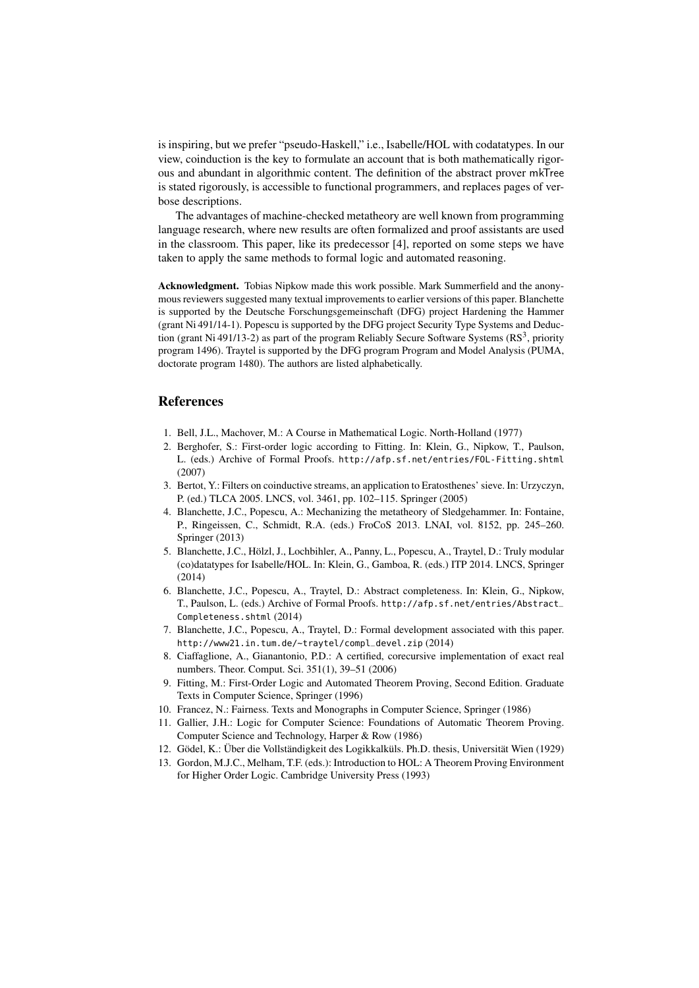is inspiring, but we prefer "pseudo-Haskell," i.e., Isabelle/HOL with codatatypes. In our view, coinduction is the key to formulate an account that is both mathematically rigorous and abundant in algorithmic content. The definition of the abstract prover mkTree is stated rigorously, is accessible to functional programmers, and replaces pages of verbose descriptions.

The advantages of machine-checked metatheory are well known from programming language research, where new results are often formalized and proof assistants are used in the classroom. This paper, like its predecessor [\[4\]](#page-13-7), reported on some steps we have taken to apply the same methods to formal logic and automated reasoning.

Acknowledgment. Tobias Nipkow made this work possible. Mark Summerfield and the anonymous reviewers suggested many textual improvements to earlier versions of this paper. Blanchette is supported by the Deutsche Forschungsgemeinschaft (DFG) project Hardening the Hammer (grant Ni 491/14-1). Popescu is supported by the DFG project Security Type Systems and Deduction (grant Ni 491/13-2) as part of the program Reliably Secure Software Systems ( $RS<sup>3</sup>$ , priority program 1496). Traytel is supported by the DFG program Program and Model Analysis (PUMA, doctorate program 1480). The authors are listed alphabetically.

# References

- <span id="page-13-5"></span>1. Bell, J.L., Machover, M.: A Course in Mathematical Logic. North-Holland (1977)
- <span id="page-13-12"></span>2. Berghofer, S.: First-order logic according to Fitting. In: Klein, G., Nipkow, T., Paulson, L. (eds.) Archive of Formal Proofs. <http://afp.sf.net/entries/FOL-Fitting.shtml> (2007)
- <span id="page-13-10"></span>3. Bertot, Y.: Filters on coinductive streams, an application to Eratosthenes' sieve. In: Urzyczyn, P. (ed.) TLCA 2005. LNCS, vol. 3461, pp. 102–115. Springer (2005)
- <span id="page-13-7"></span>4. Blanchette, J.C., Popescu, A.: Mechanizing the metatheory of Sledgehammer. In: Fontaine, P., Ringeissen, C., Schmidt, R.A. (eds.) FroCoS 2013. LNAI, vol. 8152, pp. 245–260. Springer (2013)
- <span id="page-13-2"></span>5. Blanchette, J.C., Hölzl, J., Lochbihler, A., Panny, L., Popescu, A., Traytel, D.: Truly modular (co)datatypes for Isabelle/HOL. In: Klein, G., Gamboa, R. (eds.) ITP 2014. LNCS, Springer (2014)
- <span id="page-13-8"></span>6. Blanchette, J.C., Popescu, A., Traytel, D.: Abstract completeness. In: Klein, G., Nipkow, T., Paulson, L. (eds.) Archive of Formal Proofs. [http://afp.sf.net/entries/Abstract\\_](http://afp.sf.net/entries/Abstract_Completeness.shtml) [Completeness.shtml](http://afp.sf.net/entries/Abstract_Completeness.shtml) (2014)
- <span id="page-13-9"></span>7. Blanchette, J.C., Popescu, A., Traytel, D.: Formal development associated with this paper. [http://www21.in.tum.de/~traytel/compl\\_devel.zip](http://www21.in.tum.de/~traytel/compl_devel.zip) (2014)
- <span id="page-13-11"></span>8. Ciaffaglione, A., Gianantonio, P.D.: A certified, corecursive implementation of exact real numbers. Theor. Comput. Sci. 351(1), 39–51 (2006)
- <span id="page-13-6"></span>9. Fitting, M.: First-Order Logic and Automated Theorem Proving, Second Edition. Graduate Texts in Computer Science, Springer (1996)
- <span id="page-13-4"></span>10. Francez, N.: Fairness. Texts and Monographs in Computer Science, Springer (1986)
- <span id="page-13-1"></span>11. Gallier, J.H.: Logic for Computer Science: Foundations of Automatic Theorem Proving. Computer Science and Technology, Harper & Row (1986)
- <span id="page-13-0"></span>12. Gödel, K.: Über die Vollständigkeit des Logikkalküls. Ph.D. thesis, Universität Wien (1929)
- <span id="page-13-3"></span>13. Gordon, M.J.C., Melham, T.F. (eds.): Introduction to HOL: A Theorem Proving Environment for Higher Order Logic. Cambridge University Press (1993)